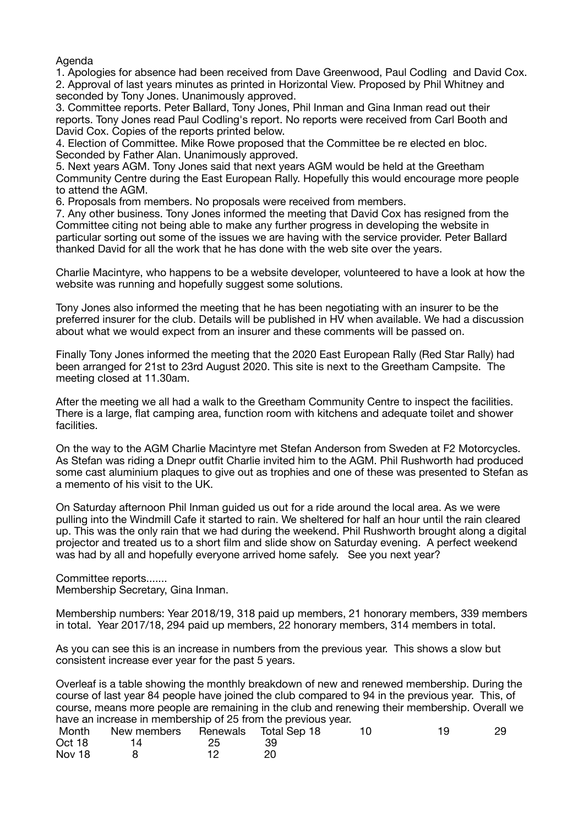Agenda

1. Apologies for absence had been received from Dave Greenwood, Paul Codling and David Cox. 2. Approval of last years minutes as printed in Horizontal View. Proposed by Phil Whitney and seconded by Tony Jones. Unanimously approved.

3. Committee reports. Peter Ballard, Tony Jones, Phil Inman and Gina Inman read out their reports. Tony Jones read Paul Codling's report. No reports were received from Carl Booth and David Cox. Copies of the reports printed below.

4. Election of Committee. Mike Rowe proposed that the Committee be re elected en bloc. Seconded by Father Alan. Unanimously approved.

5. Next years AGM. Tony Jones said that next years AGM would be held at the Greetham Community Centre during the East European Rally. Hopefully this would encourage more people to attend the AGM.

6. Proposals from members. No proposals were received from members.

7. Any other business. Tony Jones informed the meeting that David Cox has resigned from the Committee citing not being able to make any further progress in developing the website in particular sorting out some of the issues we are having with the service provider. Peter Ballard thanked David for all the work that he has done with the web site over the years.

Charlie Macintyre, who happens to be a website developer, volunteered to have a look at how the website was running and hopefully suggest some solutions.

Tony Jones also informed the meeting that he has been negotiating with an insurer to be the preferred insurer for the club. Details will be published in HV when available. We had a discussion about what we would expect from an insurer and these comments will be passed on.

Finally Tony Jones informed the meeting that the 2020 East European Rally (Red Star Rally) had been arranged for 21st to 23rd August 2020. This site is next to the Greetham Campsite. The meeting closed at 11.30am.

After the meeting we all had a walk to the Greetham Community Centre to inspect the facilities. There is a large, flat camping area, function room with kitchens and adequate toilet and shower facilities.

On the way to the AGM Charlie Macintyre met Stefan Anderson from Sweden at F2 Motorcycles. As Stefan was riding a Dnepr outfit Charlie invited him to the AGM. Phil Rushworth had produced some cast aluminium plaques to give out as trophies and one of these was presented to Stefan as a memento of his visit to the UK.

On Saturday afternoon Phil Inman guided us out for a ride around the local area. As we were pulling into the Windmill Cafe it started to rain. We sheltered for half an hour until the rain cleared up. This was the only rain that we had during the weekend. Phil Rushworth brought along a digital projector and treated us to a short film and slide show on Saturday evening. A perfect weekend was had by all and hopefully everyone arrived home safely. See you next year?

Committee reports....... Membership Secretary, Gina Inman.

Membership numbers: Year 2018/19, 318 paid up members, 21 honorary members, 339 members in total. Year 2017/18, 294 paid up members, 22 honorary members, 314 members in total.

As you can see this is an increase in numbers from the previous year. This shows a slow but consistent increase ever year for the past 5 years.

Overleaf is a table showing the monthly breakdown of new and renewed membership. During the course of last year 84 people have joined the club compared to 94 in the previous year. This, of course, means more people are remaining in the club and renewing their membership. Overall we have an increase in membership of 25 from the previous year.

| Month  | New members Renewals Total Sep 18 |    | 19 | 29 |
|--------|-----------------------------------|----|----|----|
| Oct 18 | 14.                               | 39 |    |    |
| Nov 18 |                                   |    |    |    |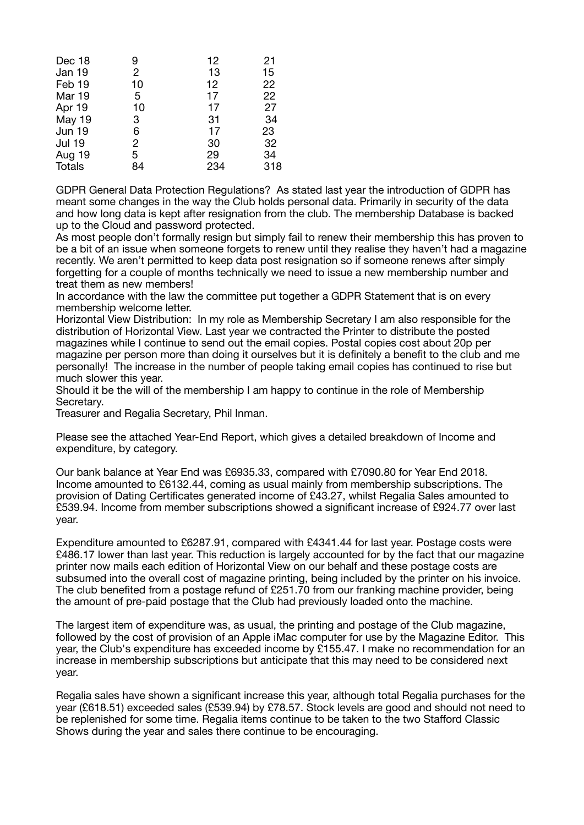| Dec 18        | 9              | 12  | 21  |
|---------------|----------------|-----|-----|
| Jan 19        | $\overline{2}$ | 13  | 15  |
| Feb 19        | 10             | 12  | 22  |
| Mar 19        | 5              | 17  | 22  |
| Apr 19        | 10             | 17  | 27  |
| May 19        | 3              | 31  | 34  |
| <b>Jun 19</b> | 6              | 17  | 23  |
| <b>Jul 19</b> | $\overline{2}$ | 30  | 32  |
| Aug 19        | 5              | 29  | 34  |
| Totals        | 84             | 234 | 318 |

GDPR General Data Protection Regulations? As stated last year the introduction of GDPR has meant some changes in the way the Club holds personal data. Primarily in security of the data and how long data is kept after resignation from the club. The membership Database is backed up to the Cloud and password protected.

As most people don't formally resign but simply fail to renew their membership this has proven to be a bit of an issue when someone forgets to renew until they realise they haven't had a magazine recently. We aren't permitted to keep data post resignation so if someone renews after simply forgetting for a couple of months technically we need to issue a new membership number and treat them as new members!

In accordance with the law the committee put together a GDPR Statement that is on every membership welcome letter.

Horizontal View Distribution: In my role as Membership Secretary I am also responsible for the distribution of Horizontal View. Last year we contracted the Printer to distribute the posted magazines while I continue to send out the email copies. Postal copies cost about 20p per magazine per person more than doing it ourselves but it is definitely a benefit to the club and me personally! The increase in the number of people taking email copies has continued to rise but much slower this year.

Should it be the will of the membership I am happy to continue in the role of Membership Secretary.

Treasurer and Regalia Secretary, Phil Inman.

Please see the attached Year-End Report, which gives a detailed breakdown of Income and expenditure, by category.

Our bank balance at Year End was £6935.33, compared with £7090.80 for Year End 2018. Income amounted to £6132.44, coming as usual mainly from membership subscriptions. The provision of Dating Certificates generated income of £43.27, whilst Regalia Sales amounted to £539.94. Income from member subscriptions showed a significant increase of £924.77 over last year.

Expenditure amounted to £6287.91, compared with £4341.44 for last year. Postage costs were £486.17 lower than last year. This reduction is largely accounted for by the fact that our magazine printer now mails each edition of Horizontal View on our behalf and these postage costs are subsumed into the overall cost of magazine printing, being included by the printer on his invoice. The club benefited from a postage refund of £251.70 from our franking machine provider, being the amount of pre-paid postage that the Club had previously loaded onto the machine.

The largest item of expenditure was, as usual, the printing and postage of the Club magazine, followed by the cost of provision of an Apple iMac computer for use by the Magazine Editor. This year, the Club's expenditure has exceeded income by £155.47. I make no recommendation for an increase in membership subscriptions but anticipate that this may need to be considered next year.

Regalia sales have shown a significant increase this year, although total Regalia purchases for the year (£618.51) exceeded sales (£539.94) by £78.57. Stock levels are good and should not need to be replenished for some time. Regalia items continue to be taken to the two Stafford Classic Shows during the year and sales there continue to be encouraging.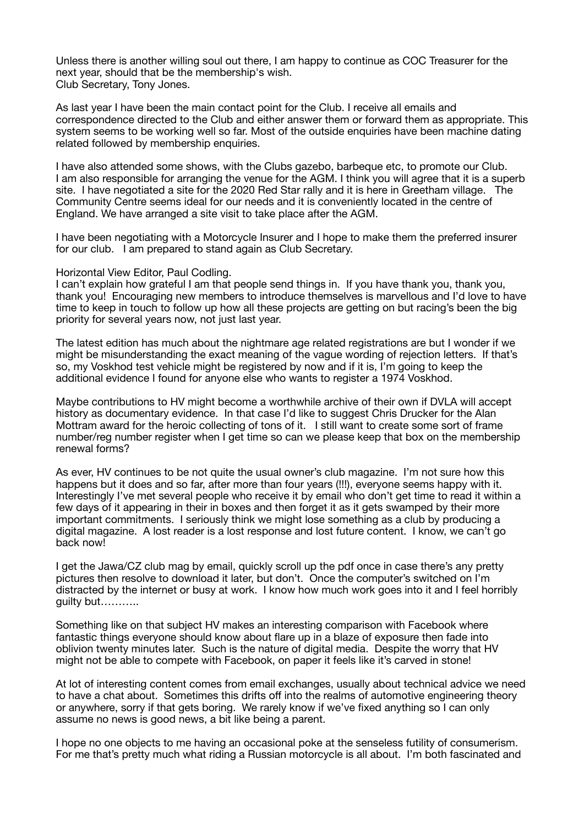Unless there is another willing soul out there, I am happy to continue as COC Treasurer for the next year, should that be the membership's wish. Club Secretary, Tony Jones.

As last year I have been the main contact point for the Club. I receive all emails and correspondence directed to the Club and either answer them or forward them as appropriate. This system seems to be working well so far. Most of the outside enquiries have been machine dating related followed by membership enquiries.

I have also attended some shows, with the Clubs gazebo, barbeque etc, to promote our Club. I am also responsible for arranging the venue for the AGM. I think you will agree that it is a superb site. I have negotiated a site for the 2020 Red Star rally and it is here in Greetham village. The Community Centre seems ideal for our needs and it is conveniently located in the centre of England. We have arranged a site visit to take place after the AGM.

I have been negotiating with a Motorcycle Insurer and I hope to make them the preferred insurer for our club. I am prepared to stand again as Club Secretary.

## Horizontal View Editor, Paul Codling.

I can't explain how grateful I am that people send things in. If you have thank you, thank you, thank you! Encouraging new members to introduce themselves is marvellous and I'd love to have time to keep in touch to follow up how all these projects are getting on but racing's been the big priority for several years now, not just last year.

The latest edition has much about the nightmare age related registrations are but I wonder if we might be misunderstanding the exact meaning of the vague wording of rejection letters. If that's so, my Voskhod test vehicle might be registered by now and if it is, I'm going to keep the additional evidence I found for anyone else who wants to register a 1974 Voskhod.

Maybe contributions to HV might become a worthwhile archive of their own if DVLA will accept history as documentary evidence. In that case I'd like to suggest Chris Drucker for the Alan Mottram award for the heroic collecting of tons of it. I still want to create some sort of frame number/reg number register when I get time so can we please keep that box on the membership renewal forms?

As ever, HV continues to be not quite the usual owner's club magazine. I'm not sure how this happens but it does and so far, after more than four years (!!!), everyone seems happy with it. Interestingly I've met several people who receive it by email who don't get time to read it within a few days of it appearing in their in boxes and then forget it as it gets swamped by their more important commitments. I seriously think we might lose something as a club by producing a digital magazine. A lost reader is a lost response and lost future content. I know, we can't go back now!

I get the Jawa/CZ club mag by email, quickly scroll up the pdf once in case there's any pretty pictures then resolve to download it later, but don't. Once the computer's switched on I'm distracted by the internet or busy at work. I know how much work goes into it and I feel horribly guilty but………..

Something like on that subject HV makes an interesting comparison with Facebook where fantastic things everyone should know about flare up in a blaze of exposure then fade into oblivion twenty minutes later. Such is the nature of digital media. Despite the worry that HV might not be able to compete with Facebook, on paper it feels like it's carved in stone!

At lot of interesting content comes from email exchanges, usually about technical advice we need to have a chat about. Sometimes this drifts off into the realms of automotive engineering theory or anywhere, sorry if that gets boring. We rarely know if we've fixed anything so I can only assume no news is good news, a bit like being a parent.

I hope no one objects to me having an occasional poke at the senseless futility of consumerism. For me that's pretty much what riding a Russian motorcycle is all about. I'm both fascinated and